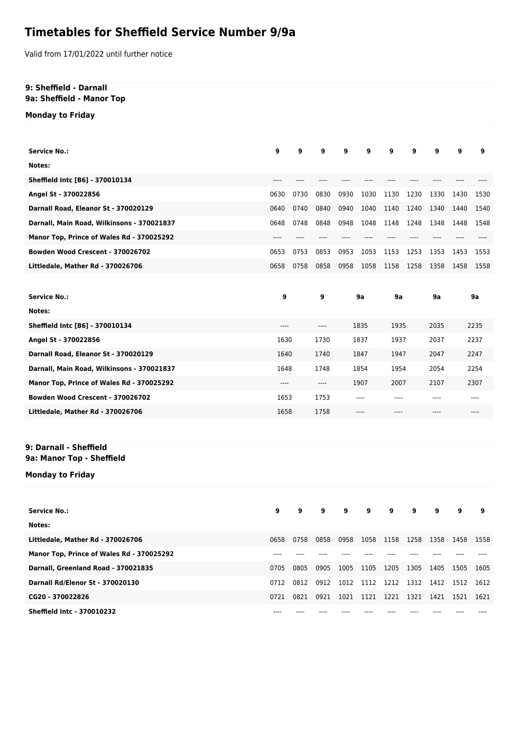## **Timetables for Sheffield Service Number 9/9a**

Valid from 17/01/2022 until further notice

## **9: Sheffield - Darnall 9a: Sheffield - Manor Top**

**Monday to Friday**

| <b>Service No.:</b>                                 | 9     | 9    | 9        | 9         | 9    | 9     | 9     | 9             | 9    | 9    |
|-----------------------------------------------------|-------|------|----------|-----------|------|-------|-------|---------------|------|------|
| Notes:                                              |       |      |          |           |      |       |       |               |      |      |
| Sheffield Intc [B6] - 370010134                     | $---$ |      |          |           |      |       |       |               |      |      |
| Angel St - 370022856                                | 0630  | 0730 | 0830     | 0930      | 1030 | 1130  | 1230  | 1330          | 1430 | 1530 |
| Darnall Road, Eleanor St - 370020129                | 0640  | 0740 | 0840     | 0940      | 1040 | 1140  | 1240  | 1340          | 1440 | 1540 |
| Darnall, Main Road, Wilkinsons - 370021837          | 0648  | 0748 | 0848     | 0948      | 1048 | 1148  | 1248  | 1348          | 1448 | 1548 |
| Manor Top, Prince of Wales Rd - 370025292           | $---$ | ---- | ----     |           | ---- | ----  |       |               |      |      |
| Bowden Wood Crescent - 370026702                    | 0653  | 0753 | 0853     | 0953      | 1053 | 1153  | 1253  | 1353          | 1453 | 1553 |
| Littledale, Mather Rd - 370026706                   | 0658  | 0758 | 0858     | 0958      | 1058 | 1158  | 1258  | 1358          | 1458 | 1558 |
|                                                     |       |      |          |           |      |       |       |               |      |      |
| <b>Service No.:</b>                                 | 9     |      | 9        | <b>9a</b> |      | 9a    |       | 9a            | 9a   |      |
| Notes:                                              |       |      |          |           |      |       |       |               |      |      |
| Sheffield Intc [B6] - 370010134                     | $---$ |      | ----     |           | 1835 | 1935  |       | 2035          | 2235 |      |
| Angel St - 370022856                                | 1630  |      | 1730     | 1837      |      | 1937  |       | 2037          | 2237 |      |
| Darnall Road, Eleanor St - 370020129                | 1640  |      | 1740     | 1847      |      | 1947  |       | 2047          | 2247 |      |
| Darnall, Main Road, Wilkinsons - 370021837          | 1648  |      | 1748     | 1854      |      | 1954  |       | 2054          | 2254 |      |
| Manor Top, Prince of Wales Rd - 370025292           | $---$ |      | $\cdots$ | 1907      |      | 2007  |       | 2107          | 2307 |      |
| Bowden Wood Crescent - 370026702                    | 1653  |      | 1753     | ----      |      | $---$ |       | $---$<br>---- |      |      |
| Littledale, Mather Rd - 370026706                   | 1658  |      | 1758     | ----      |      | $---$ |       | $---$<br>---- |      |      |
|                                                     |       |      |          |           |      |       |       |               |      |      |
| 9: Darnall - Sheffield<br>9a: Manor Top - Sheffield |       |      |          |           |      |       |       |               |      |      |
| <b>Monday to Friday</b>                             |       |      |          |           |      |       |       |               |      |      |
|                                                     |       |      |          |           |      |       |       |               |      |      |
| <b>Service No.:</b>                                 | 9     |      | 9        | 9         |      | 9     |       |               |      | 9    |
| Notes:                                              |       |      |          |           |      |       |       |               |      |      |
| Littledale, Mather Rd - 370026706                   | 0658  | 0758 | 0858     | 0958      | 1058 | 1158  | 1258  | 1358          | 1458 | 1558 |
| Manor Top, Prince of Wales Rd - 370025292           | $---$ | ---- | ----     | ----      | ---- | ----  | $---$ | ----          |      |      |
| Darnall, Greenland Road - 370021835                 | 0705  | 0805 | 0905     | 1005      | 1105 | 1205  | 1305  | 1405          | 1505 | 1605 |
| Darnall Rd/Elenor St - 370020130                    | 0712  | 0812 | 0912     | 1012      | 1112 | 1212  | 1312  | 1412          | 1512 | 1612 |
| CG20 - 370022826                                    | 0721  | 0821 | 0921     | 1021      | 1121 | 1221  | 1321  | 1421          | 1521 | 1621 |
| Sheffield Intc - 370010232                          |       |      |          |           |      |       |       |               |      |      |